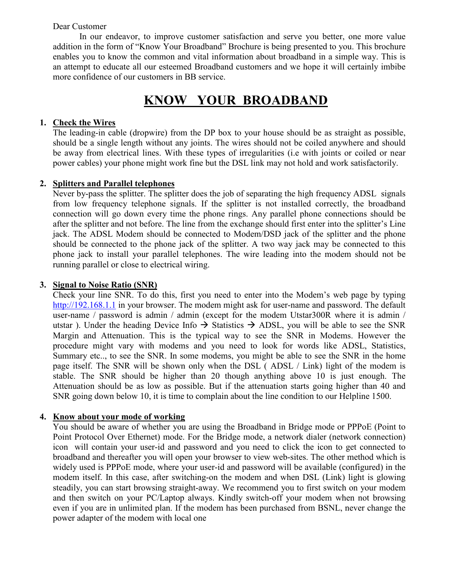#### Dear Customer

 In our endeavor, to improve customer satisfaction and serve you better, one more value addition in the form of "Know Your Broadband" Brochure is being presented to you. This brochure enables you to know the common and vital information about broadband in a simple way. This is an attempt to educate all our esteemed Broadband customers and we hope it will certainly imbibe more confidence of our customers in BB service.

# <u>**KNOW YOUR BROADBAND**</u>

### **1. Check the Wires**

The leading-in cable (dropwire) from the DP box to your house should be as straight as possible, should be a single length without any joints. The wires should not be coiled anywhere and should be away from electrical lines. With these types of irregularities (i.e with joints or coiled or near power cables) your phone might work fine but the DSL link may not hold and work satisfactorily.

# **2. Splitters and Parallel telephones**

Never by-pass the splitter. The splitter does the job of separating the high frequency ADSL signals from low frequency telephone signals. If the splitter is not installed correctly, the broadband connection will go down every time the phone rings. Any parallel phone connections should be after the splitter and not before. The line from the exchange should first enter into the splitter's Line jack. The ADSL Modem should be connected to Modem/DSD jack of the splitter and the phone should be connected to the phone jack of the splitter. A two way jack may be connected to this phone jack to install your parallel telephones. The wire leading into the modem should not be running parallel or close to electrical wiring.

## **3.** Signal to Noise Ratio (SNR)

Check your line SNR. To do this, first you need to enter into the Modem's web page by typing http://192.168.1.1 in your browser. The modem might ask for user-name and password. The default user-name / password is admin / admin (except for the modem Utstar300R where it is admin / utstar ). Under the heading Device Info  $\rightarrow$  Statistics  $\rightarrow$  ADSL, you will be able to see the SNR Margin and Attenuation. This is the typical way to see the SNR in Modems. However the procedure might vary with modems and you need to look for words like ADSL, Statistics, Summary etc.., to see the SNR. In some modems, you might be able to see the SNR in the home page itself. The SNR will be shown only when the DSL ( ADSL / Link) light of the modem is stable. The SNR should be higher than 20 though anything above 10 is just enough. The Attenuation should be as low as possible. But if the attenuation starts going higher than 40 and SNR going down below 10, it is time to complain about the line condition to our Helpline 1500.

#### **4. Know about your mode of working**

You should be aware of whether you are using the Broadband in Bridge mode or PPPoE (Point to Point Protocol Over Ethernet) mode. For the Bridge mode, a network dialer (network connection) icon will contain your user-id and password and you need to click the icon to get connected to broadband and thereafter you will open your browser to view web-sites. The other method which is widely used is PPPoE mode, where your user-id and password will be available (configured) in the modem itself. In this case, after switching-on the modem and when DSL (Link) light is glowing steadily, you can start browsing straight-away. We recommend you to first switch on your modem and then switch on your PC/Laptop always. Kindly switch-off your modem when not browsing even if you are in unlimited plan. If the modem has been purchased from BSNL, never change the power adapter of the modem with local one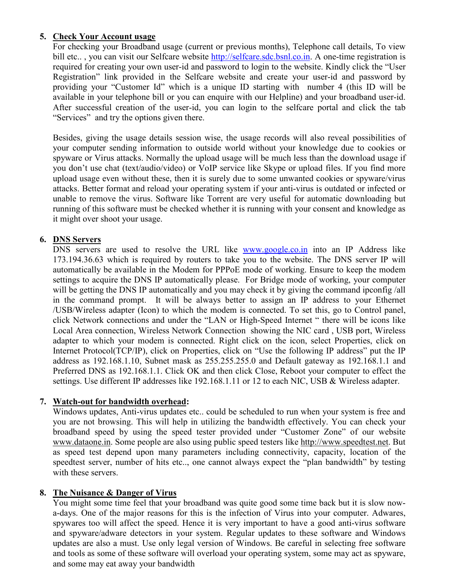# **5. Check Your Account usage**

For checking your Broadband usage (current or previous months), Telephone call details, To view bill etc..., you can visit our Selfcare website http://selfcare.sdc.bsnl.co.in. A one-time registration is required for creating your own user-id and password to login to the website. Kindly click the "User Registration" link provided in the Selfcare website and create your user-id and password by providing your "Customer Id" which is a unique ID starting with number 4 (this ID will be available in your telephone bill or you can enquire with our Helpline) and your broadband user-id. After successful creation of the user-id, you can login to the selfcare portal and click the tab "Services" and try the options given there.

Besides, giving the usage details session wise, the usage records will also reveal possibilities of your computer sending information to outside world without your knowledge due to cookies or spyware or Virus attacks. Normally the upload usage will be much less than the download usage if you don't use chat (text/audio/video) or VoIP service like Skype or upload files. If you find more upload usage even without these, then it is surely due to some unwanted cookies or spyware/virus attacks. Better format and reload your operating system if your anti-virus is outdated or infected or unable to remove the virus. Software like Torrent are very useful for automatic downloading but running of this software must be checked whether it is running with your consent and knowledge as it might over shoot your usage.

### 6. **DNS** Servers

DNS servers are used to resolve the URL like www.google.co.in into an IP Address like 173.194.36.63 which is required by routers to take you to the website. The DNS server IP will automatically be available in the Modem for PPPoE mode of working. Ensure to keep the modem settings to acquire the DNS IP automatically please. For Bridge mode of working, your computer will be getting the DNS IP automatically and you may check it by giving the command ipconfig/all in the command prompt. It will be always better to assign an IP address to your Ethernet /USB/Wireless adapter (Icon) to which the modem is connected. To set this, go to Control panel, click Network connections and under the "LAN or High-Speed Internet " there will be icons like Local Area connection, Wireless Network Connection showing the NIC card , USB port, Wireless adapter to which your modem is connected. Right click on the icon, select Properties, click on Internet Protocol(TCP/IP), click on Properties, click on "Use the following IP address" put the IP address as 192.168.1.10, Subnet mask as 255.255.255.0 and Default gateway as 192.168.1.1 and Preferred DNS as 192.168.1.1. Click OK and then click Close, Reboot your computer to effect the settings. Use different IP addresses like 192.168.1.11 or 12 to each NIC, USB & Wireless adapter.

# **7. Watch-out for bandwidth overhead:**

Windows updates, Anti-virus updates etc.. could be scheduled to run when your system is free and you are not browsing. This will help in utilizing the bandwidth effectively. You can check your broadband speed by using the speed tester provided under "Customer Zone" of our website www.dataone.in. Some people are also using public speed testers like http://www.speedtest.net. But as speed test depend upon many parameters including connectivity, capacity, location of the speedtest server, number of hits etc.., one cannot always expect the "plan bandwidth" by testing with these servers.

#### **8.** The Nuisance & Danger of Virus

You might some time feel that your broadband was quite good some time back but it is slow nowa-days. One of the major reasons for this is the infection of Virus into your computer. Adwares, spywares too will affect the speed. Hence it is very important to have a good anti-virus software and spyware/adware detectors in your system. Regular updates to these software and Windows updates are also a must. Use only legal version of Windows. Be careful in selecting free software and tools as some of these software will overload your operating system, some may act as spyware, and some may eat away your bandwidth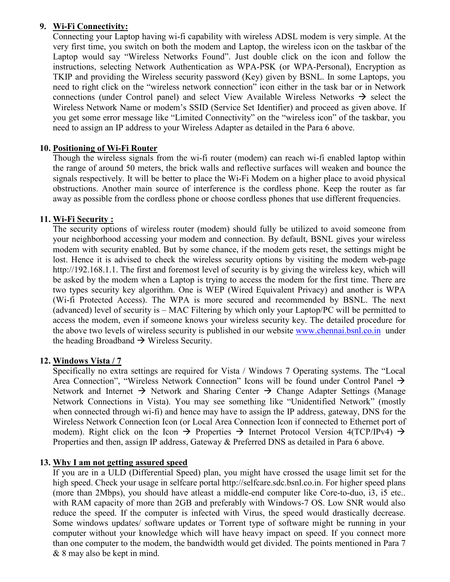# **9. Wi-Fi Connectivity:**

Connecting your Laptop having wi-fi capability with wireless ADSL modem is very simple. At the very first time, you switch on both the modem and Laptop, the wireless icon on the taskbar of the Laptop would say "Wireless Networks Found". Just double click on the icon and follow the instructions, selecting Network Authentication as WPA-PSK (or WPA-Personal), Encryption as TKIP and providing the Wireless security password (Key) given by BSNL. In some Laptops, you need to right click on the "wireless network connection" icon either in the task bar or in Network connections (under Control panel) and select View Available Wireless Networks  $\rightarrow$  select the Wireless Network Name or modem's SSID (Service Set Identifier) and proceed as given above. If you get some error message like "Limited Connectivity" on the "wireless icon" of the taskbar, you need to assign an IP address to your Wireless Adapter as detailed in the Para 6 above.

# **10. Positioning of Wi-Fi Router**

Though the wireless signals from the wi-fi router (modem) can reach wi-fi enabled laptop within the range of around 50 meters, the brick walls and reflective surfaces will weaken and bounce the signals respectively. It will be better to place the Wi-Fi Modem on a higher place to avoid physical obstructions. Another main source of interference is the cordless phone. Keep the router as far away as possible from the cordless phone or choose cordless phones that use different frequencies.

### **11. Wi-Fi Security :**

The security options of wireless router (modem) should fully be utilized to avoid someone from your neighborhood accessing your modem and connection. By default, BSNL gives your wireless modem with security enabled. But by some chance, if the modem gets reset, the settings might be lost. Hence it is advised to check the wireless security options by visiting the modem web-page http://192.168.1.1. The first and foremost level of security is by giving the wireless key, which will be asked by the modem when a Laptop is trying to access the modem for the first time. There are two types security key algorithm. One is WEP (Wired Equivalent Privacy) and another is WPA (Wi-fi Protected Access). The WPA is more secured and recommended by BSNL. The next (advanced) level of security is – MAC Filtering by which only your Laptop/PC will be permitted to access the modem, even if someone knows your wireless security key. The detailed procedure for the above two levels of wireless security is published in our website www.chennai.bsnl.co.in under the heading Broadband  $\rightarrow$  Wireless Security.

#### **12. Windows Vista / 7**

Specifically no extra settings are required for Vista / Windows 7 Operating systems. The "Local Area Connection", "Wireless Network Connection" Icons will be found under Control Panel  $\rightarrow$ Network and Internet  $\rightarrow$  Network and Sharing Center  $\rightarrow$  Change Adapter Settings (Manage Network Connections in Vista). You may see something like "Unidentified Network" (mostly when connected through wi-fi) and hence may have to assign the IP address, gateway, DNS for the Wireless Network Connection Icon (or Local Area Connection Icon if connected to Ethernet port of modem). Right click on the Icon  $\rightarrow$  Properties  $\rightarrow$  Internet Protocol Version 4(TCP/IPv4)  $\rightarrow$ Properties and then, assign IP address, Gateway & Preferred DNS as detailed in Para 6 above.

# **13. Why I am not getting assured speed**

If you are in a ULD (Differential Speed) plan, you might have crossed the usage limit set for the high speed. Check your usage in selfcare portal http://selfcare.sdc.bsnl.co.in. For higher speed plans (more than 2Mbps), you should have atleast a middle-end computer like Core-to-duo, i3, i5 etc.. with RAM capacity of more than 2GB and preferably with Windows-7 OS. Low SNR would also reduce the speed. If the computer is infected with Virus, the speed would drastically decrease. Some windows updates/ software updates or Torrent type of software might be running in your computer without your knowledge which will have heavy impact on speed. If you connect more than one computer to the modem, the bandwidth would get divided. The points mentioned in Para 7 & 8 may also be kept in mind.